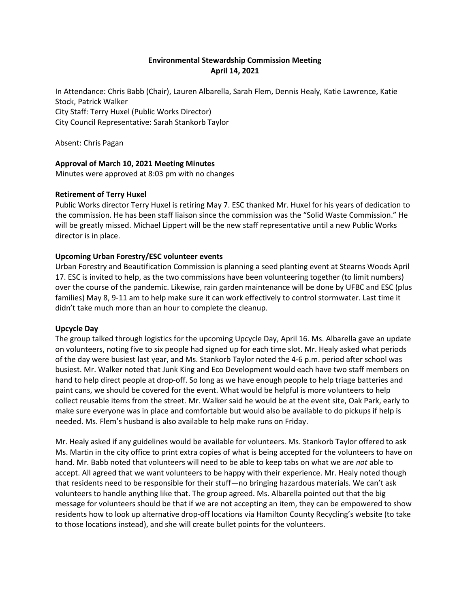# **Environmental Stewardship Commission Meeting April 14, 2021**

In Attendance: Chris Babb (Chair), Lauren Albarella, Sarah Flem, Dennis Healy, Katie Lawrence, Katie Stock, Patrick Walker City Staff: Terry Huxel (Public Works Director) City Council Representative: Sarah Stankorb Taylor

Absent: Chris Pagan

## **Approval of March 10, 2021 Meeting Minutes**

Minutes were approved at 8:03 pm with no changes

### **Retirement of Terry Huxel**

Public Works director Terry Huxel is retiring May 7. ESC thanked Mr. Huxel for his years of dedication to the commission. He has been staff liaison since the commission was the "Solid Waste Commission." He will be greatly missed. Michael Lippert will be the new staff representative until a new Public Works director is in place.

### **Upcoming Urban Forestry/ESC volunteer events**

Urban Forestry and Beautification Commission is planning a seed planting event at Stearns Woods April 17. ESC is invited to help, as the two commissions have been volunteering together (to limit numbers) over the course of the pandemic. Likewise, rain garden maintenance will be done by UFBC and ESC (plus families) May 8, 9-11 am to help make sure it can work effectively to control stormwater. Last time it didn't take much more than an hour to complete the cleanup.

### **Upcycle Day**

The group talked through logistics for the upcoming Upcycle Day, April 16. Ms. Albarella gave an update on volunteers, noting five to six people had signed up for each time slot. Mr. Healy asked what periods of the day were busiest last year, and Ms. Stankorb Taylor noted the 4-6 p.m. period after school was busiest. Mr. Walker noted that Junk King and Eco Development would each have two staff members on hand to help direct people at drop-off. So long as we have enough people to help triage batteries and paint cans, we should be covered for the event. What would be helpful is more volunteers to help collect reusable items from the street. Mr. Walker said he would be at the event site, Oak Park, early to make sure everyone was in place and comfortable but would also be available to do pickups if help is needed. Ms. Flem's husband is also available to help make runs on Friday.

Mr. Healy asked if any guidelines would be available for volunteers. Ms. Stankorb Taylor offered to ask Ms. Martin in the city office to print extra copies of what is being accepted for the volunteers to have on hand. Mr. Babb noted that volunteers will need to be able to keep tabs on what we are *not* able to accept. All agreed that we want volunteers to be happy with their experience. Mr. Healy noted though that residents need to be responsible for their stuff—no bringing hazardous materials. We can't ask volunteers to handle anything like that. The group agreed. Ms. Albarella pointed out that the big message for volunteers should be that if we are not accepting an item, they can be empowered to show residents how to look up alternative drop-off locations via Hamilton County Recycling's website (to take to those locations instead), and she will create bullet points for the volunteers.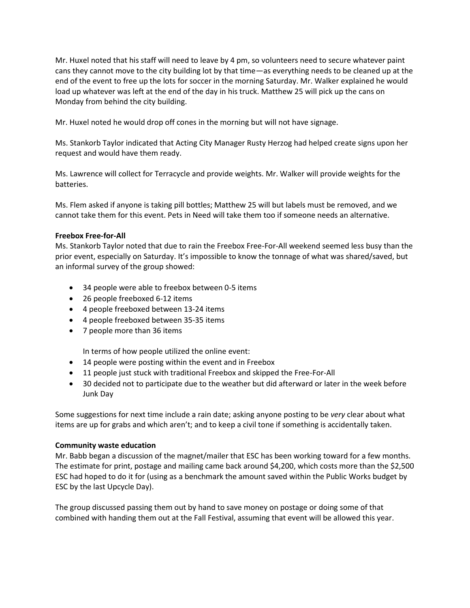Mr. Huxel noted that his staff will need to leave by 4 pm, so volunteers need to secure whatever paint cans they cannot move to the city building lot by that time—as everything needs to be cleaned up at the end of the event to free up the lots for soccer in the morning Saturday. Mr. Walker explained he would load up whatever was left at the end of the day in his truck. Matthew 25 will pick up the cans on Monday from behind the city building.

Mr. Huxel noted he would drop off cones in the morning but will not have signage.

Ms. Stankorb Taylor indicated that Acting City Manager Rusty Herzog had helped create signs upon her request and would have them ready.

Ms. Lawrence will collect for Terracycle and provide weights. Mr. Walker will provide weights for the batteries.

Ms. Flem asked if anyone is taking pill bottles; Matthew 25 will but labels must be removed, and we cannot take them for this event. Pets in Need will take them too if someone needs an alternative.

### **Freebox Free-for-All**

Ms. Stankorb Taylor noted that due to rain the Freebox Free-For-All weekend seemed less busy than the prior event, especially on Saturday. It's impossible to know the tonnage of what was shared/saved, but an informal survey of the group showed:

- 34 people were able to freebox between 0-5 items
- 26 people freeboxed 6-12 items
- 4 people freeboxed between 13-24 items
- 4 people freeboxed between 35-35 items
- 7 people more than 36 items

In terms of how people utilized the online event:

- 14 people were posting within the event and in Freebox
- 11 people just stuck with traditional Freebox and skipped the Free-For-All
- 30 decided not to participate due to the weather but did afterward or later in the week before Junk Day

Some suggestions for next time include a rain date; asking anyone posting to be *very* clear about what items are up for grabs and which aren't; and to keep a civil tone if something is accidentally taken.

### **Community waste education**

Mr. Babb began a discussion of the magnet/mailer that ESC has been working toward for a few months. The estimate for print, postage and mailing came back around \$4,200, which costs more than the \$2,500 ESC had hoped to do it for (using as a benchmark the amount saved within the Public Works budget by ESC by the last Upcycle Day).

The group discussed passing them out by hand to save money on postage or doing some of that combined with handing them out at the Fall Festival, assuming that event will be allowed this year.